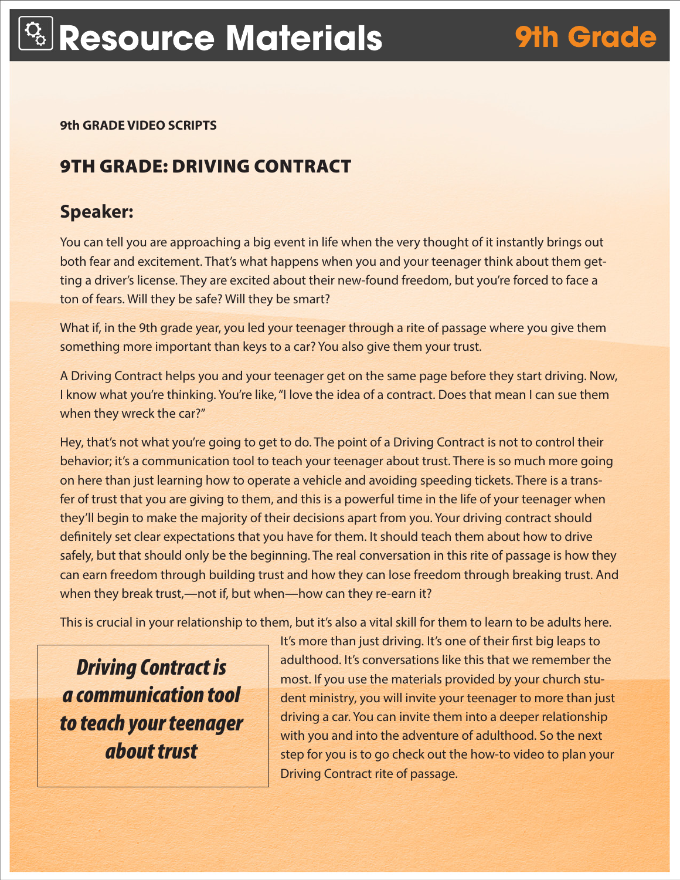**9th GRADE VIDEO SCRIPTS** 

# 9TH GRADE: DRIVING CONTRACT

### **Speaker:**

You can tell you are approaching a big event in life when the very thought of it instantly brings out both fear and excitement. That's what happens when you and your teenager think about them getting a driver's license. They are excited about their new-found freedom, but you're forced to face a ton of fears. Will they be safe? Will they be smart?

What if, in the 9th grade year, you led your teenager through a rite of passage where you give them something more important than keys to a car? You also give them your trust.

A Driving Contract helps you and your teenager get on the same page before they start driving. Now, I know what you're thinking. You're like, "I love the idea of a contract. Does that mean I can sue them when they wreck the car?"

Hey, that's not what you're going to get to do. The point of a Driving Contract is not to control their behavior; it's a communication tool to teach your teenager about trust. There is so much more going on here than just learning how to operate a vehicle and avoiding speeding tickets. There is a transfer of trust that you are giving to them, and this is a powerful time in the life of your teenager when they'll begin to make the majority of their decisions apart from you. Your driving contract should definitely set clear expectations that you have for them. It should teach them about how to drive safely, but that should only be the beginning. The real conversation in this rite of passage is how they can earn freedom through building trust and how they can lose freedom through breaking trust. And when they break trust,—not if, but when—how can they re-earn it?

This is crucial in your relationship to them, but it's also a vital skill for them to learn to be adults here.

*Driving Contract is a communication tool to teach your teenager about trust*

It's more than just driving. It's one of their first big leaps to adulthood. It's conversations like this that we remember the most. If you use the materials provided by your church student ministry, you will invite your teenager to more than just driving a car. You can invite them into a deeper relationship with you and into the adventure of adulthood. So the next step for you is to go check out the how-to video to plan your Driving Contract rite of passage.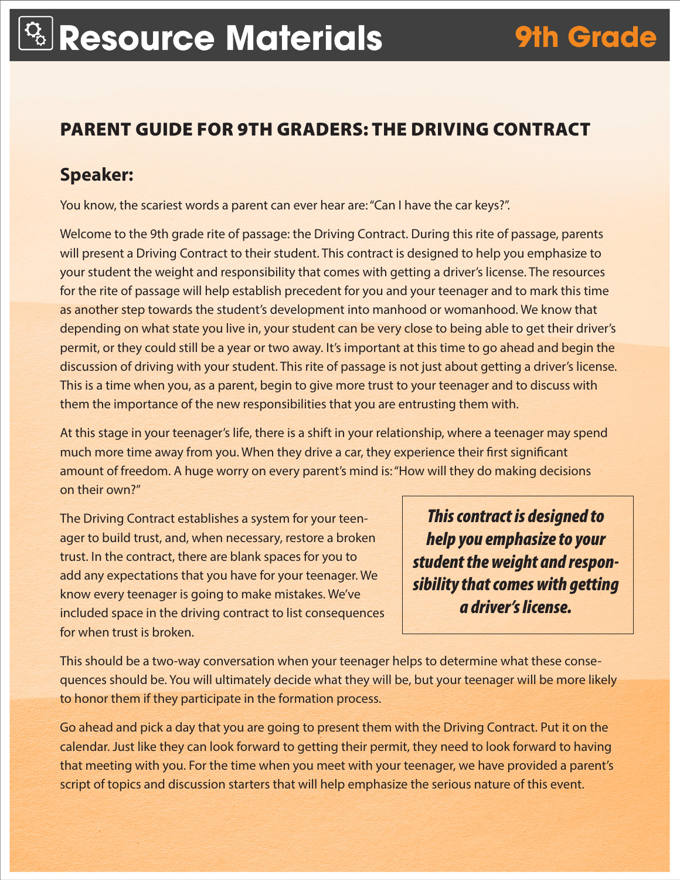## PARENT GUIDE FOR 9TH GRADERS: THE DRIVING CONTRACT

#### **Speaker:**

You know, the scariest words a parent can ever hear are: "Can I have the car keys?".

Welcome to the 9th grade rite of passage: the Driving Contract. During this rite of passage, parents will present a Driving Contract to their student. This contract is designed to help you emphasize to your student the weight and responsibility that comes with getting a driver's license. The resources for the rite of passage will help establish precedent for you and your teenager and to mark this time as another step towards the student's development into manhood or womanhood. We know that depending on what state you live in, your student can be very close to being able to get their driver's permit, or they could still be a year or two away. It's important at this time to go ahead and begin the discussion of driving with your student. This rite of passage is not just about getting a driver's license. This is a time when you, as a parent, begin to give more trust to your teenager and to discuss with them the importance of the new responsibilities that you are entrusting them with.

At this stage in your teenager's life, there is a shift in your relationship, where a teenager may spend much more time away from you. When they drive a car, they experience their first significant amount of freedom. A huge worry on every parent's mind is: "How will they do making decisions on their own?"

The Driving Contract establishes a system for your teenager to build trust, and, when necessary, restore a broken trust. In the contract, there are blank spaces for you to add any expectations that you have for your teenager. We know every teenager is going to make mistakes. We've included space in the driving contract to list consequences for when trust is broken.

*This contract is designed to help you emphasize to your student the weight and responsibility that comes with getting a driver's license.* 

This should be a two-way conversation when your teenager helps to determine what these consequences should be. You will ultimately decide what they will be, but your teenager will be more likely to honor them if they participate in the formation process.

Go ahead and pick a day that you are going to present them with the Driving Contract. Put it on the calendar. Just like they can look forward to getting their permit, they need to look forward to having that meeting with you. For the time when you meet with your teenager, we have provided a parent's script of topics and discussion starters that will help emphasize the serious nature of this event.